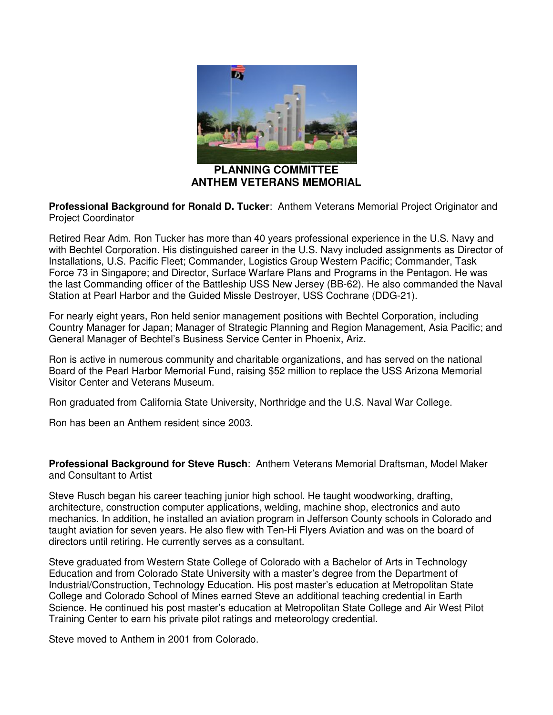

**PLANNING COMMITTEE ANTHEM VETERANS MEMORIAL**

**Professional Background for Ronald D. Tucker**: Anthem Veterans Memorial Project Originator and Project Coordinator

Retired Rear Adm. Ron Tucker has more than 40 years professional experience in the U.S. Navy and with Bechtel Corporation. His distinguished career in the U.S. Navy included assignments as Director of Installations, U.S. Pacific Fleet; Commander, Logistics Group Western Pacific; Commander, Task Force 73 in Singapore; and Director, Surface Warfare Plans and Programs in the Pentagon. He was the last Commanding officer of the Battleship USS New Jersey (BB-62). He also commanded the Naval Station at Pearl Harbor and the Guided Missle Destroyer, USS Cochrane (DDG-21).

For nearly eight years, Ron held senior management positions with Bechtel Corporation, including Country Manager for Japan; Manager of Strategic Planning and Region Management, Asia Pacific; and General Manager of Bechtel's Business Service Center in Phoenix, Ariz.

Ron is active in numerous community and charitable organizations, and has served on the national Board of the Pearl Harbor Memorial Fund, raising \$52 million to replace the USS Arizona Memorial Visitor Center and Veterans Museum.

Ron graduated from California State University, Northridge and the U.S. Naval War College.

Ron has been an Anthem resident since 2003.

**Professional Background for Steve Rusch**: Anthem Veterans Memorial Draftsman, Model Maker and Consultant to Artist

Steve Rusch began his career teaching junior high school. He taught woodworking, drafting, architecture, construction computer applications, welding, machine shop, electronics and auto mechanics. In addition, he installed an aviation program in Jefferson County schools in Colorado and taught aviation for seven years. He also flew with Ten-Hi Flyers Aviation and was on the board of directors until retiring. He currently serves as a consultant.

Steve graduated from Western State College of Colorado with a Bachelor of Arts in Technology Education and from Colorado State University with a master's degree from the Department of Industrial/Construction, Technology Education. His post master's education at Metropolitan State College and Colorado School of Mines earned Steve an additional teaching credential in Earth Science. He continued his post master's education at Metropolitan State College and Air West Pilot Training Center to earn his private pilot ratings and meteorology credential.

Steve moved to Anthem in 2001 from Colorado.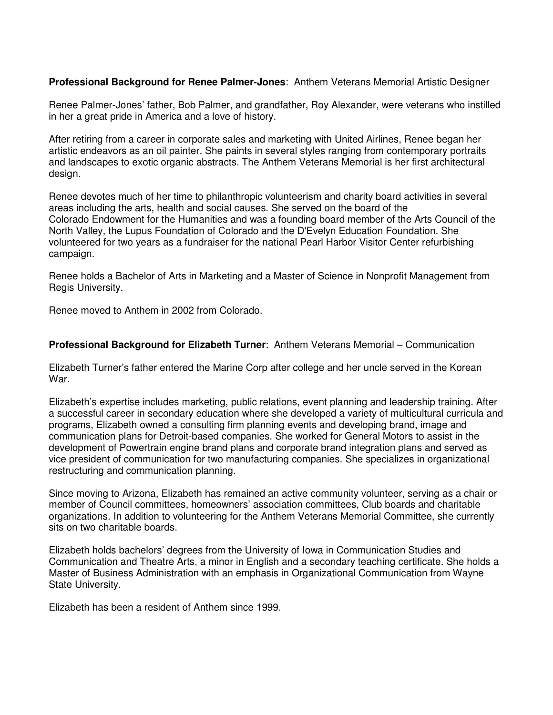## **Professional Background for Renee Palmer-Jones**: Anthem Veterans Memorial Artistic Designer

Renee Palmer-Jones' father, Bob Palmer, and grandfather, Roy Alexander, were veterans who instilled in her a great pride in America and a love of history.

After retiring from a career in corporate sales and marketing with United Airlines, Renee began her artistic endeavors as an oil painter. She paints in several styles ranging from contemporary portraits and landscapes to exotic organic abstracts. The Anthem Veterans Memorial is her first architectural design.

Renee devotes much of her time to philanthropic volunteerism and charity board activities in several areas including the arts, health and social causes. She served on the board of the Colorado Endowment for the Humanities and was a founding board member of the Arts Council of the North Valley, the Lupus Foundation of Colorado and the D'Evelyn Education Foundation. She volunteered for two years as a fundraiser for the national Pearl Harbor Visitor Center refurbishing campaign.

Renee holds a Bachelor of Arts in Marketing and a Master of Science in Nonprofit Management from Regis University.

Renee moved to Anthem in 2002 from Colorado.

## **Professional Background for Elizabeth Turner**: Anthem Veterans Memorial – Communication

Elizabeth Turner's father entered the Marine Corp after college and her uncle served in the Korean War.

Elizabeth's expertise includes marketing, public relations, event planning and leadership training. After a successful career in secondary education where she developed a variety of multicultural curricula and programs, Elizabeth owned a consulting firm planning events and developing brand, image and communication plans for Detroit-based companies. She worked for General Motors to assist in the development of Powertrain engine brand plans and corporate brand integration plans and served as vice president of communication for two manufacturing companies. She specializes in organizational restructuring and communication planning.

Since moving to Arizona, Elizabeth has remained an active community volunteer, serving as a chair or member of Council committees, homeowners' association committees, Club boards and charitable organizations. In addition to volunteering for the Anthem Veterans Memorial Committee, she currently sits on two charitable boards.

Elizabeth holds bachelors' degrees from the University of Iowa in Communication Studies and Communication and Theatre Arts, a minor in English and a secondary teaching certificate. She holds a Master of Business Administration with an emphasis in Organizational Communication from Wayne State University.

Elizabeth has been a resident of Anthem since 1999.